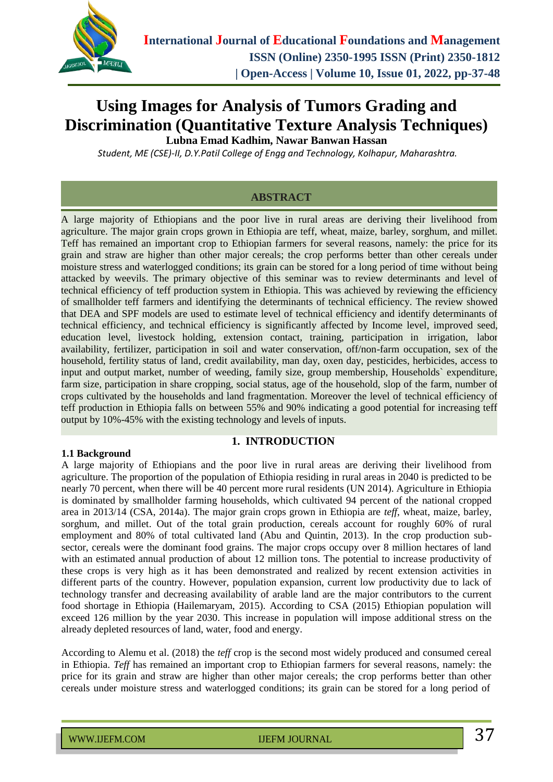

# **Using Images for Analysis of Tumors Grading and Discrimination (Quantitative Texture Analysis Techniques)**

**Lubna Emad Kadhim, Nawar Banwan Hassan**

*Student, ME (CSE)-II, D.Y.Patil College of Engg and Technology, Kolhapur, Maharashtra.*

### **ABSTRACT**

A large majority of Ethiopians and the poor live in rural areas are deriving their livelihood from agriculture. The major grain crops grown in Ethiopia are teff, wheat, maize, barley, sorghum, and millet. Teff has remained an important crop to Ethiopian farmers for several reasons, namely: the price for its grain and straw are higher than other major cereals; the crop performs better than other cereals under moisture stress and waterlogged conditions; its grain can be stored for a long period of time without being attacked by weevils. The primary objective of this seminar was to review determinants and level of technical efficiency of teff production system in Ethiopia. This was achieved by reviewing the efficiency of smallholder teff farmers and identifying the determinants of technical efficiency. The review showed that DEA and SPF models are used to estimate level of technical efficiency and identify determinants of technical efficiency, and technical efficiency is significantly affected by Income level, improved seed, education level, livestock holding, extension contact, training, participation in irrigation, labor availability, fertilizer, participation in soil and water conservation, off/non-farm occupation, sex of the household, fertility status of land, credit availability, man day, oxen day, pesticides, herbicides, access to input and output market, number of weeding, family size, group membership, Households` expenditure, farm size, participation in share cropping, social status, age of the household, slop of the farm, number of crops cultivated by the households and land fragmentation. Moreover the level of technical efficiency of teff production in Ethiopia falls on between 55% and 90% indicating a good potential for increasing teff output by 10%-45% with the existing technology and levels of inputs.

#### **1.1 Background**

#### **1. INTRODUCTION**

A large majority of Ethiopians and the poor live in rural areas are deriving their livelihood from agriculture. The proportion of the population of Ethiopia residing in rural areas in 2040 is predicted to be nearly 70 percent, when there will be 40 percent more rural residents (UN 2014). Agriculture in Ethiopia is dominated by smallholder farming households, which cultivated 94 percent of the national cropped area in 2013/14 (CSA, 2014a). The major grain crops grown in Ethiopia are *teff*, wheat, maize, barley, sorghum, and millet. Out of the total grain production, cereals account for roughly 60% of rural employment and 80% of total cultivated land (Abu and Quintin, 2013). In the crop production subsector, cereals were the dominant food grains. The major crops occupy over 8 million hectares of land with an estimated annual production of about 12 million tons. The potential to increase productivity of these crops is very high as it has been demonstrated and realized by recent extension activities in different parts of the country. However, population expansion, current low productivity due to lack of technology transfer and decreasing availability of arable land are the major contributors to the current food shortage in Ethiopia (Hailemaryam, 2015). According to CSA (2015) Ethiopian population will exceed 126 million by the year 2030. This increase in population will impose additional stress on the already depleted resources of land, water, food and energy.

According to Alemu et al. (2018) the *teff* crop is the second most widely produced and consumed cereal in Ethiopia. *Teff* has remained an important crop to Ethiopian farmers for several reasons, namely: the price for its grain and straw are higher than other major cereals; the crop performs better than other cereals under moisture stress and waterlogged conditions; its grain can be stored for a long period of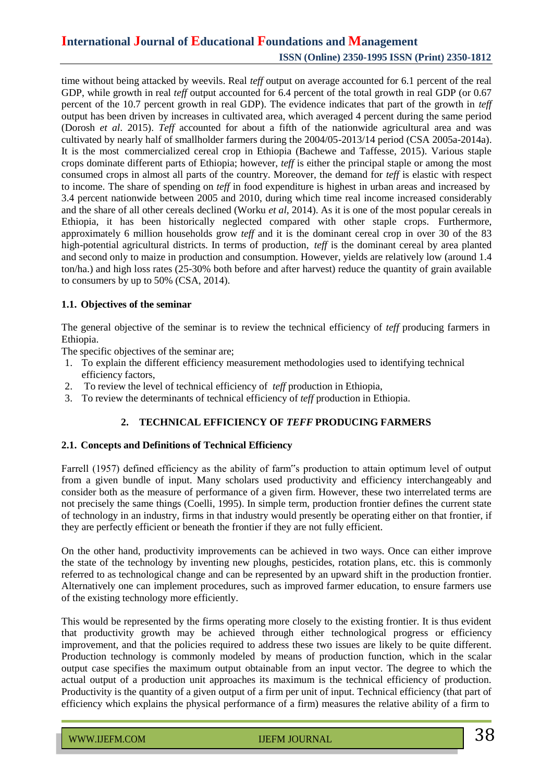time without being attacked by weevils. Real *teff* output on average accounted for 6.1 percent of the real GDP, while growth in real *teff* output accounted for 6.4 percent of the total growth in real GDP (or 0.67 percent of the 10.7 percent growth in real GDP). The evidence indicates that part of the growth in *teff* output has been driven by increases in cultivated area, which averaged 4 percent during the same period (Dorosh *et al*. 2015). *Teff* accounted for about a fifth of the nationwide agricultural area and was cultivated by nearly half of smallholder farmers during the 2004/05-2013/14 period (CSA 2005a-2014a). It is the most commercialized cereal crop in Ethiopia (Bachewe and Taffesse, 2015). Various staple crops dominate different parts of Ethiopia; however, *teff* is either the principal staple or among the most consumed crops in almost all parts of the country. Moreover, the demand for *teff* is elastic with respect to income. The share of spending on *teff* in food expenditure is highest in urban areas and increased by 3.4 percent nationwide between 2005 and 2010, during which time real income increased considerably and the share of all other cereals declined (Worku *et al,* 2014). As it is one of the most popular cereals in Ethiopia, it has been historically neglected compared with other staple crops. Furthermore, approximately 6 million households grow *teff* and it is the dominant cereal crop in over 30 of the 83 high-potential agricultural districts. In terms of production, *teff* is the dominant cereal by area planted and second only to maize in production and consumption. However, yields are relatively low (around 1.4 ton/ha.) and high loss rates (25-30% both before and after harvest) reduce the quantity of grain available to consumers by up to 50% (CSA, 2014).

#### **1.1. Objectives of the seminar**

The general objective of the seminar is to review the technical efficiency of *teff* producing farmers in Ethiopia.

The specific objectives of the seminar are;

- 1. To explain the different efficiency measurement methodologies used to identifying technical efficiency factors,
- 2. To review the level of technical efficiency of *teff* production in Ethiopia,
- 3. To review the determinants of technical efficiency of *teff* production in Ethiopia.

### **2. TECHNICAL EFFICIENCY OF** *TEFF* **PRODUCING FARMERS**

#### **2.1. Concepts and Definitions of Technical Efficiency**

Farrell (1957) defined efficiency as the ability of farm"s production to attain optimum level of output from a given bundle of input. Many scholars used productivity and efficiency interchangeably and consider both as the measure of performance of a given firm. However, these two interrelated terms are not precisely the same things (Coelli, 1995). In simple term, production frontier defines the current state of technology in an industry, firms in that industry would presently be operating either on that frontier, if they are perfectly efficient or beneath the frontier if they are not fully efficient.

On the other hand, productivity improvements can be achieved in two ways. Once can either improve the state of the technology by inventing new ploughs, pesticides, rotation plans, etc. this is commonly referred to as technological change and can be represented by an upward shift in the production frontier. Alternatively one can implement procedures, such as improved farmer education, to ensure farmers use of the existing technology more efficiently.

This would be represented by the firms operating more closely to the existing frontier. It is thus evident that productivity growth may be achieved through either technological progress or efficiency improvement, and that the policies required to address these two issues are likely to be quite different. Production technology is commonly modeled by means of production function, which in the scalar output case specifies the maximum output obtainable from an input vector. The degree to which the actual output of a production unit approaches its maximum is the technical efficiency of production. Productivity is the quantity of a given output of a firm per unit of input. Technical efficiency (that part of efficiency which explains the physical performance of a firm) measures the relative ability of a firm to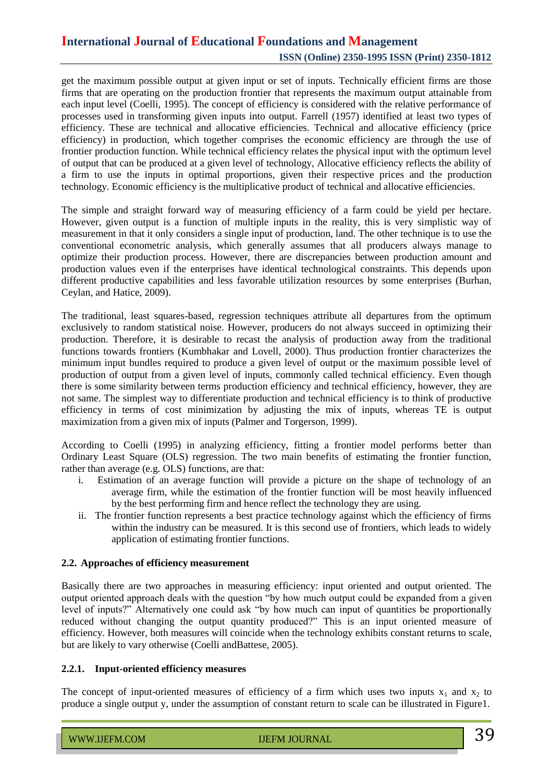get the maximum possible output at given input or set of inputs. Technically efficient firms are those firms that are operating on the production frontier that represents the maximum output attainable from each input level (Coelli, 1995). The concept of efficiency is considered with the relative performance of processes used in transforming given inputs into output. Farrell (1957) identified at least two types of efficiency. These are technical and allocative efficiencies. Technical and allocative efficiency (price efficiency) in production, which together comprises the economic efficiency are through the use of frontier production function. While technical efficiency relates the physical input with the optimum level of output that can be produced at a given level of technology, Allocative efficiency reflects the ability of a firm to use the inputs in optimal proportions, given their respective prices and the production technology. Economic efficiency is the multiplicative product of technical and allocative efficiencies.

The simple and straight forward way of measuring efficiency of a farm could be yield per hectare. However, given output is a function of multiple inputs in the reality, this is very simplistic way of measurement in that it only considers a single input of production, land. The other technique is to use the conventional econometric analysis, which generally assumes that all producers always manage to optimize their production process. However, there are discrepancies between production amount and production values even if the enterprises have identical technological constraints. This depends upon different productive capabilities and less favorable utilization resources by some enterprises (Burhan, Ceylan, and Hatice, 2009).

The traditional, least squares-based, regression techniques attribute all departures from the optimum exclusively to random statistical noise. However, producers do not always succeed in optimizing their production. Therefore, it is desirable to recast the analysis of production away from the traditional functions towards frontiers (Kumbhakar and Lovell, 2000). Thus production frontier characterizes the minimum input bundles required to produce a given level of output or the maximum possible level of production of output from a given level of inputs, commonly called technical efficiency. Even though there is some similarity between terms production efficiency and technical efficiency, however, they are not same. The simplest way to differentiate production and technical efficiency is to think of productive efficiency in terms of cost minimization by adjusting the mix of inputs*,* whereas TE is output maximization from a given mix of inputs (Palmer and Torgerson, 1999).

According to Coelli (1995) in analyzing efficiency, fitting a frontier model performs better than Ordinary Least Square (OLS) regression. The two main benefits of estimating the frontier function, rather than average (e.g. OLS) functions, are that:

- i. Estimation of an average function will provide a picture on the shape of technology of an average firm, while the estimation of the frontier function will be most heavily influenced by the best performing firm and hence reflect the technology they are using.
- ii. The frontier function represents a best practice technology against which the efficiency of firms within the industry can be measured. It is this second use of frontiers, which leads to widely application of estimating frontier functions.

#### **2.2. Approaches of efficiency measurement**

Basically there are two approaches in measuring efficiency: input oriented and output oriented. The output oriented approach deals with the question "by how much output could be expanded from a given level of inputs?" Alternatively one could ask "by how much can input of quantities be proportionally reduced without changing the output quantity produced?" This is an input oriented measure of efficiency. However, both measures will coincide when the technology exhibits constant returns to scale, but are likely to vary otherwise (Coelli andBattese, 2005).

#### **2.2.1. Input-oriented efficiency measures**

The concept of input-oriented measures of efficiency of a firm which uses two inputs  $x_1$  and  $x_2$  to produce a single output y, under the assumption of constant return to scale can be illustrated in Figure1.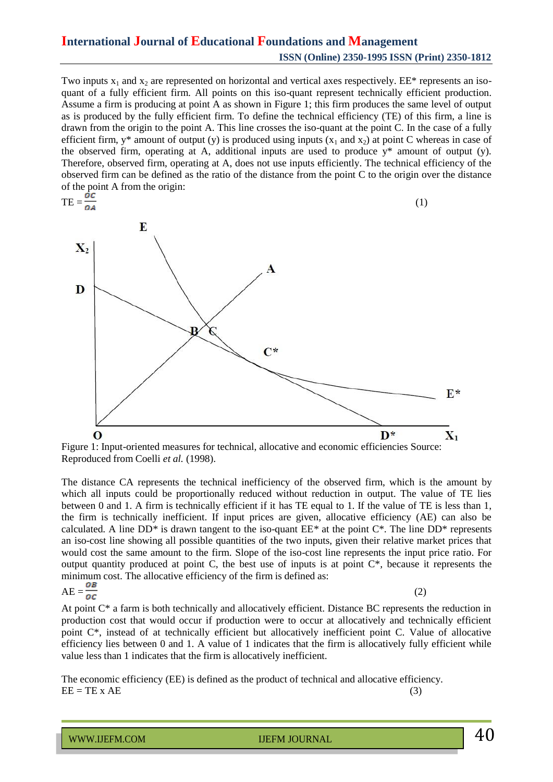Two inputs  $x_1$  and  $x_2$  are represented on horizontal and vertical axes respectively. EE\* represents an isoquant of a fully efficient firm. All points on this iso-quant represent technically efficient production. Assume a firm is producing at point A as shown in Figure 1; this firm produces the same level of output as is produced by the fully efficient firm. To define the technical efficiency (TE) of this firm, a line is drawn from the origin to the point A. This line crosses the iso-quant at the point C. In the case of a fully efficient firm,  $y^*$  amount of output (y) is produced using inputs  $(x_1$  and  $x_2$ ) at point C whereas in case of the observed firm, operating at A, additional inputs are used to produce y\* amount of output (y). Therefore, observed firm, operating at A, does not use inputs efficiently. The technical efficiency of the observed firm can be defined as the ratio of the distance from the point C to the origin over the distance of the point A from the origin:



Figure 1: Input-oriented measures for technical, allocative and economic efficiencies Source: Reproduced from Coelli *et al.* (1998).

The distance CA represents the technical inefficiency of the observed firm, which is the amount by which all inputs could be proportionally reduced without reduction in output. The value of TE lies between 0 and 1. A firm is technically efficient if it has TE equal to 1. If the value of TE is less than 1, the firm is technically inefficient. If input prices are given, allocative efficiency (AE) can also be calculated. A line DD*\** is drawn tangent to the iso-quant EE*\** at the point C\*. The line DD\* represents an iso-cost line showing all possible quantities of the two inputs, given their relative market prices that would cost the same amount to the firm. Slope of the iso-cost line represents the input price ratio. For output quantity produced at point C, the best use of inputs is at point C\**,* because it represents the minimum cost. The allocative efficiency of the firm is defined as:  $AE = \frac{1}{2}$  (2)

$$
AE = \frac{OB}{OC}
$$

At point C\* a farm is both technically and allocatively efficient. Distance BC represents the reduction in production cost that would occur if production were to occur at allocatively and technically efficient point C\*, instead of at technically efficient but allocatively inefficient point C. Value of allocative efficiency lies between 0 and 1. A value of 1 indicates that the firm is allocatively fully efficient while value less than 1 indicates that the firm is allocatively inefficient.

The economic efficiency (EE) is defined as the product of technical and allocative efficiency.  $EE = TE \times AE$  (3)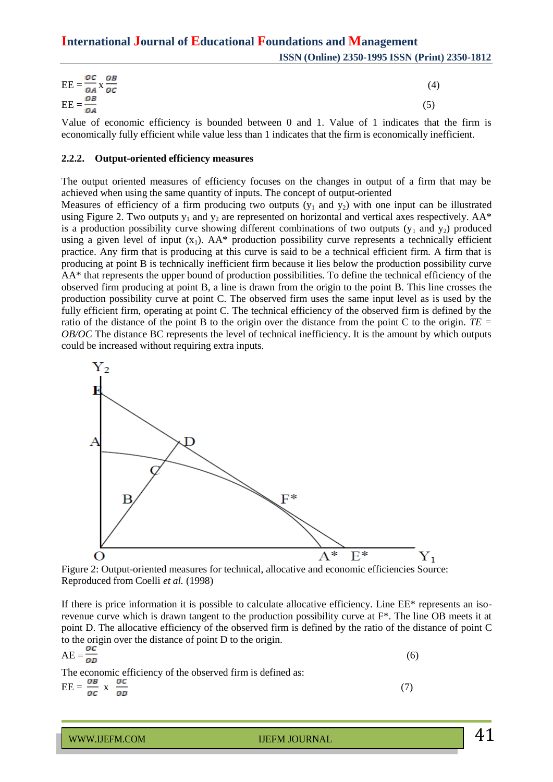| ос ов<br>$EE = \frac{DE}{OA} \times \frac{OB}{OC}$    | (4) |
|-------------------------------------------------------|-----|
| $\overline{EE} = \frac{\overline{OB}}{\overline{OA}}$ |     |

Value of economic efficiency is bounded between 0 and 1. Value of 1 indicates that the firm is economically fully efficient while value less than 1 indicates that the firm is economically inefficient.

#### **2.2.2. Output-oriented efficiency measures**

The output oriented measures of efficiency focuses on the changes in output of a firm that may be achieved when using the same quantity of inputs. The concept of output-oriented

Measures of efficiency of a firm producing two outputs  $(y_1$  and  $y_2)$  with one input can be illustrated using Figure 2. Two outputs  $y_1$  and  $y_2$  are represented on horizontal and vertical axes respectively. AA\* is a production possibility curve showing different combinations of two outputs  $(y_1$  and  $y_2)$  produced using a given level of input  $(x_1)$ . AA\* production possibility curve represents a technically efficient practice. Any firm that is producing at this curve is said to be a technical efficient firm. A firm that is producing at point B is technically inefficient firm because it lies below the production possibility curve AA\* that represents the upper bound of production possibilities. To define the technical efficiency of the observed firm producing at point B, a line is drawn from the origin to the point B. This line crosses the production possibility curve at point C. The observed firm uses the same input level as is used by the fully efficient firm, operating at point C. The technical efficiency of the observed firm is defined by the ratio of the distance of the point B to the origin over the distance from the point C to the origin. *TE = OB/OC* The distance BC represents the level of technical inefficiency. It is the amount by which outputs could be increased without requiring extra inputs.



Figure 2: Output-oriented measures for technical, allocative and economic efficiencies Source: Reproduced from Coelli *et al.* (1998)

If there is price information it is possible to calculate allocative efficiency. Line EE\* represents an isorevenue curve which is drawn tangent to the production possibility curve at  $F^*$ . The line OB meets it at point D. The allocative efficiency of the observed firm is defined by the ratio of the distance of point C to the origin over the distance of point D to the origin.

$$
AE = \frac{OC}{OD}
$$
  
The economic efficiency of the observed firm is defined as: (6)

 $\text{EE} = \frac{\partial B}{\partial c} \times \frac{\partial c}{\partial D}$  (7)

WWW.IJEFM.COM IJEFM JOURNAL  $41$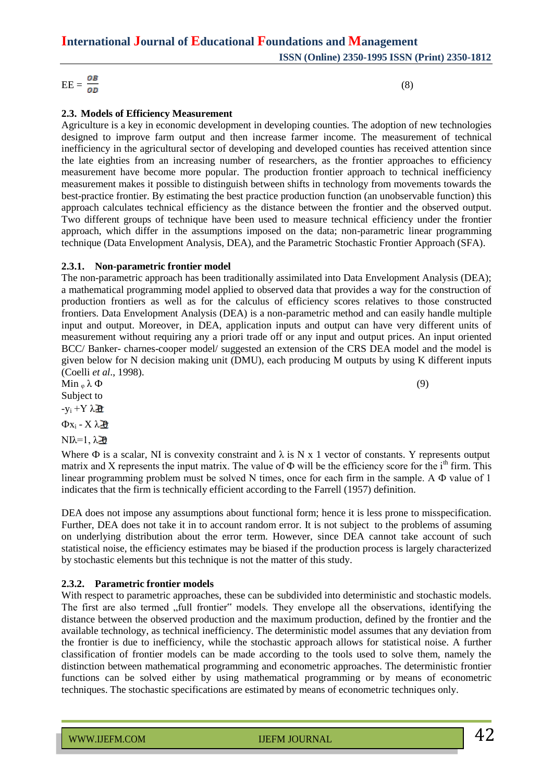$\text{EE} = \frac{OB}{OD}$  (8)

### **2.3. Models of Efficiency Measurement**

Agriculture is a key in economic development in developing counties. The adoption of new technologies designed to improve farm output and then increase farmer income. The measurement of technical inefficiency in the agricultural sector of developing and developed counties has received attention since the late eighties from an increasing number of researchers, as the frontier approaches to efficiency measurement have become more popular. The production frontier approach to technical inefficiency measurement makes it possible to distinguish between shifts in technology from movements towards the best-practice frontier. By estimating the best practice production function (an unobservable function) this approach calculates technical efficiency as the distance between the frontier and the observed output. Two different groups of technique have been used to measure technical efficiency under the frontier approach, which differ in the assumptions imposed on the data; non-parametric linear programming technique (Data Envelopment Analysis, DEA), and the Parametric Stochastic Frontier Approach (SFA).

#### **2.3.1. Non-parametric frontier model**

The non-parametric approach has been traditionally assimilated into Data Envelopment Analysis (DEA); a mathematical programming model applied to observed data that provides a way for the construction of production frontiers as well as for the calculus of efficiency scores relatives to those constructed frontiers. Data Envelopment Analysis (DEA) is a non-parametric method and can easily handle multiple input and output. Moreover, in DEA, application inputs and output can have very different units of measurement without requiring any a priori trade off or any input and output prices. An input oriented BCC/ Banker- charnes-cooper model/ suggested an extension of the CRS DEA model and the model is given below for N decision making unit (DMU), each producing M outputs by using K different inputs (Coelli *et al*., 1998).

 $\text{Min }_{\varphi} \lambda \Phi$  (9) Subject to

 $-y_i + Y \lambda \hat{p}$ 

 $Φx_i - Xλ$  $\partial$ 

NIλ=1,  $\lambda$  20

Where  $\Phi$  is a scalar, NI is convexity constraint and  $\lambda$  is N x 1 vector of constants. Y represents output matrix and X represents the input matrix. The value of  $\Phi$  will be the efficiency score for the i<sup>th</sup> firm. This linear programming problem must be solved N times, once for each firm in the sample. A Ф value of 1 indicates that the firm is technically efficient according to the Farrell (1957) definition.

DEA does not impose any assumptions about functional form; hence it is less prone to misspecification. Further, DEA does not take it in to account random error. It is not subject to the problems of assuming on underlying distribution about the error term. However, since DEA cannot take account of such statistical noise, the efficiency estimates may be biased if the production process is largely characterized by stochastic elements but this technique is not the matter of this study.

#### **2.3.2. Parametric frontier models**

With respect to parametric approaches, these can be subdivided into deterministic and stochastic models. The first are also termed "full frontier" models. They envelope all the observations, identifying the distance between the observed production and the maximum production, defined by the frontier and the available technology, as technical inefficiency. The deterministic model assumes that any deviation from the frontier is due to inefficiency, while the stochastic approach allows for statistical noise. A further classification of frontier models can be made according to the tools used to solve them, namely the distinction between mathematical programming and econometric approaches. The deterministic frontier functions can be solved either by using mathematical programming or by means of econometric techniques. The stochastic specifications are estimated by means of econometric techniques only.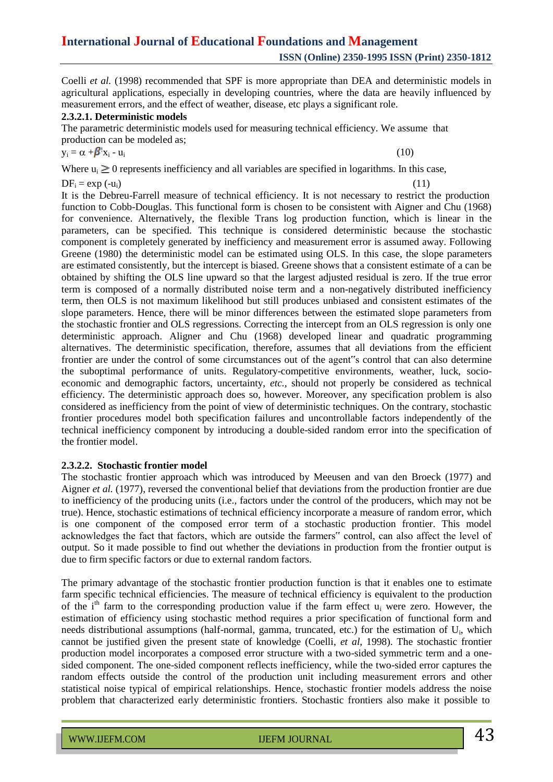Coelli *et al.* (1998) recommended that SPF is more appropriate than DEA and deterministic models in agricultural applications, especially in developing countries, where the data are heavily influenced by measurement errors, and the effect of weather, disease, etc plays a significant role.

#### **2.3.2.1. Deterministic models**

The parametric deterministic models used for measuring technical efficiency. We assume that production can be modeled as;

$$
y_i = \alpha + \beta' x_i - u_i \tag{10}
$$

Where  $u_i \geq 0$  represents inefficiency and all variables are specified in logarithms. In this case,

 $DF_i = \exp(-u_i)$  (11)

It is the Debreu-Farrell measure of technical efficiency. It is not necessary to restrict the production function to Cobb-Douglas. This functional form is chosen to be consistent with Aigner and Chu (1968) for convenience. Alternatively, the flexible Trans log production function, which is linear in the parameters, can be specified. This technique is considered deterministic because the stochastic component is completely generated by inefficiency and measurement error is assumed away. Following Greene (1980) the deterministic model can be estimated using OLS. In this case, the slope parameters are estimated consistently, but the intercept is biased. Greene shows that a consistent estimate of a can be obtained by shifting the OLS line upward so that the largest adjusted residual is zero. If the true error term is composed of a normally distributed noise term and a non-negatively distributed inefficiency term, then OLS is not maximum likelihood but still produces unbiased and consistent estimates of the slope parameters. Hence, there will be minor differences between the estimated slope parameters from the stochastic frontier and OLS regressions. Correcting the intercept from an OLS regression is only one deterministic approach. Aligner and Chu (1968) developed linear and quadratic programming alternatives. The deterministic specification, therefore, assumes that all deviations from the efficient frontier are under the control of some circumstances out of the agent"s control that can also determine the suboptimal performance of units. Regulatory-competitive environments, weather, luck, socioeconomic and demographic factors, uncertainty, *etc.,* should not properly be considered as technical efficiency. The deterministic approach does so, however. Moreover, any specification problem is also considered as inefficiency from the point of view of deterministic techniques. On the contrary, stochastic frontier procedures model both specification failures and uncontrollable factors independently of the technical inefficiency component by introducing a double-sided random error into the specification of the frontier model.

#### **2.3.2.2. Stochastic frontier model**

The stochastic frontier approach which was introduced by Meeusen and van den Broeck (1977) and Aigner *et al.* (1977), reversed the conventional belief that deviations from the production frontier are due to inefficiency of the producing units (i.e., factors under the control of the producers, which may not be true). Hence, stochastic estimations of technical efficiency incorporate a measure of random error, which is one component of the composed error term of a stochastic production frontier. This model acknowledges the fact that factors, which are outside the farmers" control, can also affect the level of output. So it made possible to find out whether the deviations in production from the frontier output is due to firm specific factors or due to external random factors.

The primary advantage of the stochastic frontier production function is that it enables one to estimate farm specific technical efficiencies. The measure of technical efficiency is equivalent to the production of the  $i<sup>th</sup>$  farm to the corresponding production value if the farm effect  $u_i$  were zero. However, the estimation of efficiency using stochastic method requires a prior specification of functional form and needs distributional assumptions (half-normal, gamma, truncated, etc.) for the estimation of U<sub>i</sub>, which cannot be justified given the present state of knowledge (Coelli, *et al*, 1998). The stochastic frontier production model incorporates a composed error structure with a two-sided symmetric term and a onesided component. The one-sided component reflects inefficiency, while the two-sided error captures the random effects outside the control of the production unit including measurement errors and other statistical noise typical of empirical relationships. Hence, stochastic frontier models address the noise problem that characterized early deterministic frontiers. Stochastic frontiers also make it possible to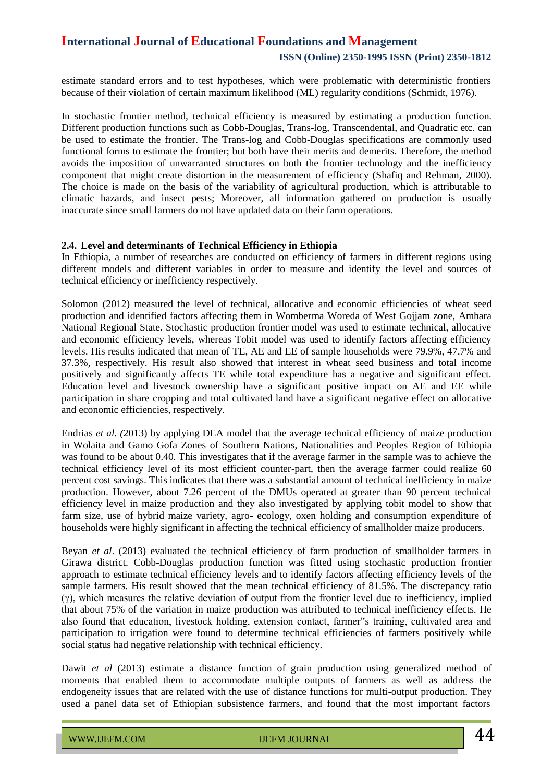estimate standard errors and to test hypotheses, which were problematic with deterministic frontiers because of their violation of certain maximum likelihood (ML) regularity conditions (Schmidt, 1976).

In stochastic frontier method, technical efficiency is measured by estimating a production function. Different production functions such as Cobb-Douglas, Trans-log, Transcendental, and Quadratic etc. can be used to estimate the frontier. The Trans-log and Cobb-Douglas specifications are commonly used functional forms to estimate the frontier; but both have their merits and demerits. Therefore, the method avoids the imposition of unwarranted structures on both the frontier technology and the inefficiency component that might create distortion in the measurement of efficiency (Shafiq and Rehman, 2000). The choice is made on the basis of the variability of agricultural production, which is attributable to climatic hazards, and insect pests; Moreover, all information gathered on production is usually inaccurate since small farmers do not have updated data on their farm operations.

#### **2.4. Level and determinants of Technical Efficiency in Ethiopia**

In Ethiopia, a number of researches are conducted on efficiency of farmers in different regions using different models and different variables in order to measure and identify the level and sources of technical efficiency or inefficiency respectively.

Solomon (2012) measured the level of technical, allocative and economic efficiencies of wheat seed production and identified factors affecting them in Womberma Woreda of West Gojjam zone, Amhara National Regional State. Stochastic production frontier model was used to estimate technical, allocative and economic efficiency levels, whereas Tobit model was used to identify factors affecting efficiency levels. His results indicated that mean of TE, AE and EE of sample households were 79.9%, 47.7% and 37.3%, respectively. His result also showed that interest in wheat seed business and total income positively and significantly affects TE while total expenditure has a negative and significant effect. Education level and livestock ownership have a significant positive impact on AE and EE while participation in share cropping and total cultivated land have a significant negative effect on allocative and economic efficiencies, respectively.

Endrias *et al. (*2013) by applying DEA model that the average technical efficiency of maize production in Wolaita and Gamo Gofa Zones of Southern Nations, Nationalities and Peoples Region of Ethiopia was found to be about 0.40. This investigates that if the average farmer in the sample was to achieve the technical efficiency level of its most efficient counter-part, then the average farmer could realize 60 percent cost savings. This indicates that there was a substantial amount of technical inefficiency in maize production. However, about 7.26 percent of the DMUs operated at greater than 90 percent technical efficiency level in maize production and they also investigated by applying tobit model to show that farm size, use of hybrid maize variety, agro- ecology, oxen holding and consumption expenditure of households were highly significant in affecting the technical efficiency of smallholder maize producers.

Beyan *et al*. (2013) evaluated the technical efficiency of farm production of smallholder farmers in Girawa district. Cobb-Douglas production function was fitted using stochastic production frontier approach to estimate technical efficiency levels and to identify factors affecting efficiency levels of the sample farmers. His result showed that the mean technical efficiency of 81.5%. The discrepancy ratio (γ), which measures the relative deviation of output from the frontier level due to inefficiency, implied that about 75% of the variation in maize production was attributed to technical inefficiency effects. He also found that education, livestock holding, extension contact, farmer"s training, cultivated area and participation to irrigation were found to determine technical efficiencies of farmers positively while social status had negative relationship with technical efficiency.

Dawit *et al* (2013) estimate a distance function of grain production using generalized method of moments that enabled them to accommodate multiple outputs of farmers as well as address the endogeneity issues that are related with the use of distance functions for multi-output production. They used a panel data set of Ethiopian subsistence farmers, and found that the most important factors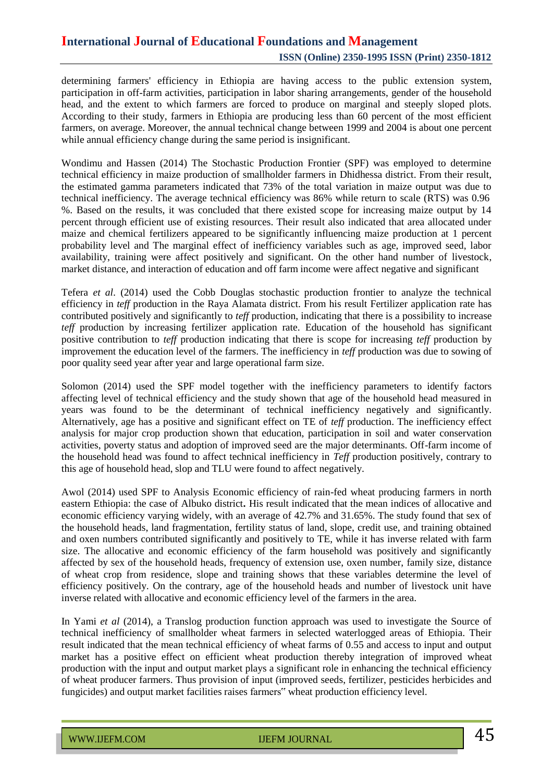determining farmers' efficiency in Ethiopia are having access to the public extension system, participation in off-farm activities, participation in labor sharing arrangements, gender of the household head, and the extent to which farmers are forced to produce on marginal and steeply sloped plots. According to their study, farmers in Ethiopia are producing less than 60 percent of the most efficient farmers, on average. Moreover, the annual technical change between 1999 and 2004 is about one percent while annual efficiency change during the same period is insignificant.

Wondimu and Hassen (2014) The Stochastic Production Frontier (SPF) was employed to determine technical efficiency in maize production of smallholder farmers in Dhidhessa district. From their result, the estimated gamma parameters indicated that 73% of the total variation in maize output was due to technical inefficiency. The average technical efficiency was 86% while return to scale (RTS) was 0.96 %. Based on the results, it was concluded that there existed scope for increasing maize output by 14 percent through efficient use of existing resources. Their result also indicated that area allocated under maize and chemical fertilizers appeared to be significantly influencing maize production at 1 percent probability level and The marginal effect of inefficiency variables such as age, improved seed, labor availability, training were affect positively and significant. On the other hand number of livestock, market distance, and interaction of education and off farm income were affect negative and significant

Tefera *et al*. (2014) used the Cobb Douglas stochastic production frontier to analyze the technical efficiency in *teff* production in the Raya Alamata district. From his result Fertilizer application rate has contributed positively and significantly to *teff* production, indicating that there is a possibility to increase *teff* production by increasing fertilizer application rate. Education of the household has significant positive contribution to *teff* production indicating that there is scope for increasing *teff* production by improvement the education level of the farmers. The inefficiency in *teff* production was due to sowing of poor quality seed year after year and large operational farm size.

Solomon (2014) used the SPF model together with the inefficiency parameters to identify factors affecting level of technical efficiency and the study shown that age of the household head measured in years was found to be the determinant of technical inefficiency negatively and significantly. Alternatively, age has a positive and significant effect on TE of *teff* production. The inefficiency effect analysis for major crop production shown that education, participation in soil and water conservation activities, poverty status and adoption of improved seed are the major determinants. Off-farm income of the household head was found to affect technical inefficiency in *Teff* production positively, contrary to this age of household head, slop and TLU were found to affect negatively.

Awol (2014) used SPF to Analysis Economic efficiency of rain-fed wheat producing farmers in north eastern Ethiopia: the case of Albuko district**.** His result indicated that the mean indices of allocative and economic efficiency varying widely, with an average of 42.7% and 31.65%. The study found that sex of the household heads, land fragmentation, fertility status of land, slope, credit use, and training obtained and oxen numbers contributed significantly and positively to TE, while it has inverse related with farm size. The allocative and economic efficiency of the farm household was positively and significantly affected by sex of the household heads, frequency of extension use, oxen number, family size, distance of wheat crop from residence, slope and training shows that these variables determine the level of efficiency positively. On the contrary, age of the household heads and number of livestock unit have inverse related with allocative and economic efficiency level of the farmers in the area.

In Yami *et al* (2014), a Translog production function approach was used to investigate the Source of technical inefficiency of smallholder wheat farmers in selected waterlogged areas of Ethiopia. Their result indicated that the mean technical efficiency of wheat farms of 0.55 and access to input and output market has a positive effect on efficient wheat production thereby integration of improved wheat production with the input and output market plays a significant role in enhancing the technical efficiency of wheat producer farmers. Thus provision of input (improved seeds, fertilizer, pesticides herbicides and fungicides) and output market facilities raises farmers" wheat production efficiency level.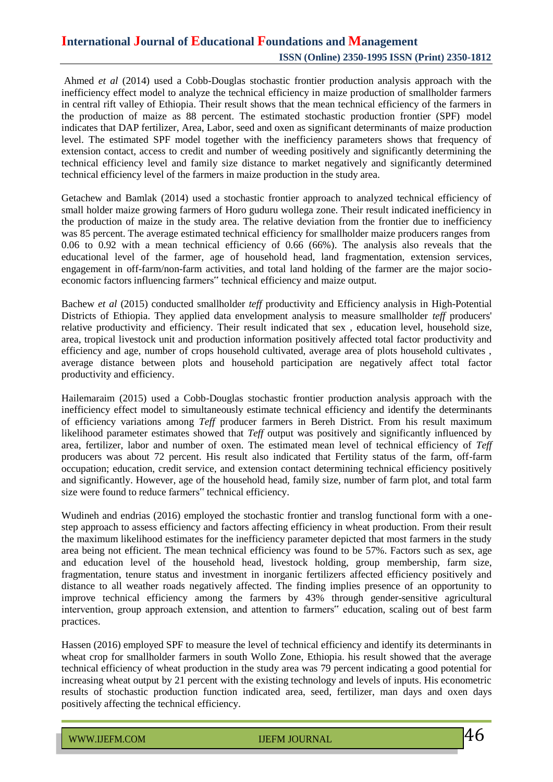Ahmed *et al* (2014) used a Cobb-Douglas stochastic frontier production analysis approach with the inefficiency effect model to analyze the technical efficiency in maize production of smallholder farmers in central rift valley of Ethiopia. Their result shows that the mean technical efficiency of the farmers in the production of maize as 88 percent. The estimated stochastic production frontier (SPF) model indicates that DAP fertilizer, Area, Labor, seed and oxen as significant determinants of maize production level. The estimated SPF model together with the inefficiency parameters shows that frequency of extension contact, access to credit and number of weeding positively and significantly determining the technical efficiency level and family size distance to market negatively and significantly determined technical efficiency level of the farmers in maize production in the study area.

Getachew and Bamlak (2014) used a stochastic frontier approach to analyzed technical efficiency of small holder maize growing farmers of Horo guduru wollega zone. Their result indicated inefficiency in the production of maize in the study area. The relative deviation from the frontier due to inefficiency was 85 percent. The average estimated technical efficiency for smallholder maize producers ranges from 0.06 to 0.92 with a mean technical efficiency of 0.66 (66%). The analysis also reveals that the educational level of the farmer, age of household head, land fragmentation, extension services, engagement in off-farm/non-farm activities, and total land holding of the farmer are the major socioeconomic factors influencing farmers" technical efficiency and maize output.

Bachew *et al* (2015) conducted smallholder *teff* productivity and Efficiency analysis in High-Potential Districts of Ethiopia. They applied data envelopment analysis to measure smallholder *teff* producers' relative productivity and efficiency. Their result indicated that sex , education level, household size, area, tropical livestock unit and production information positively affected total factor productivity and efficiency and age, number of crops household cultivated, average area of plots household cultivates , average distance between plots and household participation are negatively affect total factor productivity and efficiency.

Hailemaraim (2015) used a Cobb-Douglas stochastic frontier production analysis approach with the inefficiency effect model to simultaneously estimate technical efficiency and identify the determinants of efficiency variations among *Teff* producer farmers in Bereh District. From his result maximum likelihood parameter estimates showed that *Teff* output was positively and significantly influenced by area, fertilizer, labor and number of oxen. The estimated mean level of technical efficiency of *Teff* producers was about 72 percent. His result also indicated that Fertility status of the farm, off-farm occupation; education, credit service, and extension contact determining technical efficiency positively and significantly. However, age of the household head, family size, number of farm plot, and total farm size were found to reduce farmers" technical efficiency.

Wudineh and endrias (2016) employed the stochastic frontier and translog functional form with a onestep approach to assess efficiency and factors affecting efficiency in wheat production. From their result the maximum likelihood estimates for the inefficiency parameter depicted that most farmers in the study area being not efficient. The mean technical efficiency was found to be 57%. Factors such as sex, age and education level of the household head, livestock holding, group membership, farm size, fragmentation, tenure status and investment in inorganic fertilizers affected efficiency positively and distance to all weather roads negatively affected. The finding implies presence of an opportunity to improve technical efficiency among the farmers by 43% through gender-sensitive agricultural intervention, group approach extension, and attention to farmers" education, scaling out of best farm practices.

Hassen (2016) employed SPF to measure the level of technical efficiency and identify its determinants in wheat crop for smallholder farmers in south Wollo Zone, Ethiopia. his result showed that the average technical efficiency of wheat production in the study area was 79 percent indicating a good potential for increasing wheat output by 21 percent with the existing technology and levels of inputs. His econometric results of stochastic production function indicated area, seed, fertilizer, man days and oxen days positively affecting the technical efficiency.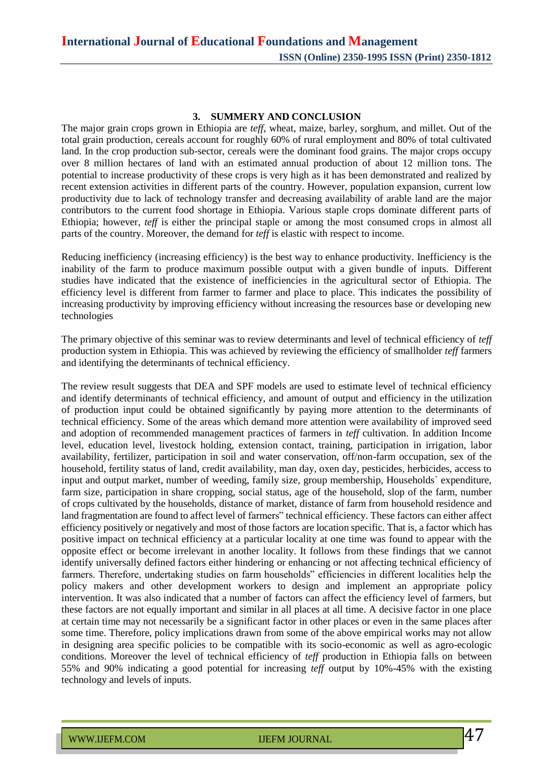#### **3. SUMMERY AND CONCLUSION**

The major grain crops grown in Ethiopia are *teff*, wheat, maize, barley, sorghum, and millet. Out of the total grain production, cereals account for roughly 60% of rural employment and 80% of total cultivated land. In the crop production sub-sector, cereals were the dominant food grains. The major crops occupy over 8 million hectares of land with an estimated annual production of about 12 million tons. The potential to increase productivity of these crops is very high as it has been demonstrated and realized by recent extension activities in different parts of the country. However, population expansion, current low productivity due to lack of technology transfer and decreasing availability of arable land are the major contributors to the current food shortage in Ethiopia. Various staple crops dominate different parts of Ethiopia; however, *teff* is either the principal staple or among the most consumed crops in almost all parts of the country. Moreover, the demand for *teff* is elastic with respect to income.

Reducing inefficiency (increasing efficiency) is the best way to enhance productivity. Inefficiency is the inability of the farm to produce maximum possible output with a given bundle of inputs. Different studies have indicated that the existence of inefficiencies in the agricultural sector of Ethiopia. The efficiency level is different from farmer to farmer and place to place. This indicates the possibility of increasing productivity by improving efficiency without increasing the resources base or developing new technologies

The primary objective of this seminar was to review determinants and level of technical efficiency of *teff* production system in Ethiopia. This was achieved by reviewing the efficiency of smallholder *teff* farmers and identifying the determinants of technical efficiency.

The review result suggests that DEA and SPF models are used to estimate level of technical efficiency and identify determinants of technical efficiency, and amount of output and efficiency in the utilization of production input could be obtained significantly by paying more attention to the determinants of technical efficiency. Some of the areas which demand more attention were availability of improved seed and adoption of recommended management practices of farmers in *teff* cultivation. In addition Income level, education level, livestock holding, extension contact, training, participation in irrigation, labor availability, fertilizer, participation in soil and water conservation, off/non-farm occupation, sex of the household, fertility status of land, credit availability, man day, oxen day, pesticides, herbicides, access to input and output market, number of weeding, family size, group membership, Households` expenditure, farm size, participation in share cropping, social status, age of the household, slop of the farm, number of crops cultivated by the households, distance of market, distance of farm from household residence and land fragmentation are found to affect level of farmers" technical efficiency. These factors can either affect efficiency positively or negatively and most of those factors are location specific. That is, a factor which has positive impact on technical efficiency at a particular locality at one time was found to appear with the opposite effect or become irrelevant in another locality. It follows from these findings that we cannot identify universally defined factors either hindering or enhancing or not affecting technical efficiency of farmers. Therefore, undertaking studies on farm households" efficiencies in different localities help the policy makers and other development workers to design and implement an appropriate policy intervention. It was also indicated that a number of factors can affect the efficiency level of farmers, but these factors are not equally important and similar in all places at all time. A decisive factor in one place at certain time may not necessarily be a significant factor in other places or even in the same places after some time. Therefore, policy implications drawn from some of the above empirical works may not allow in designing area specific policies to be compatible with its socio-economic as well as agro-ecologic conditions. Moreover the level of technical efficiency of *teff* production in Ethiopia falls on between 55% and 90% indicating a good potential for increasing *teff* output by 10%-45% with the existing technology and levels of inputs.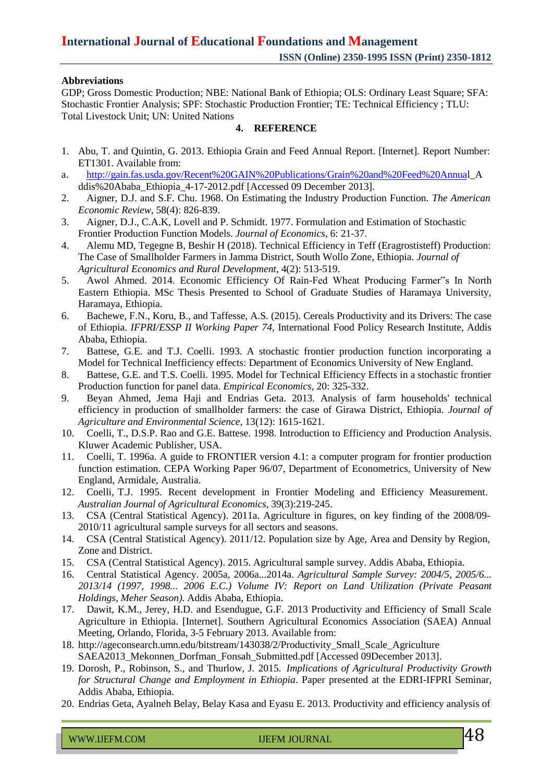#### **Abbreviations**

GDP; Gross Domestic Production; NBE: National Bank of Ethiopia; OLS: Ordinary Least Square; SFA: Stochastic Frontier Analysis; SPF: Stochastic Production Frontier; TE: Technical Efficiency ; TLU: Total Livestock Unit; UN: United Nations

#### **4. REFERENCE**

- 1. Abu, T. and Quintin, G. 2013. Ethiopia Grain and Feed Annual Report. [Internet]. Report Number: ET1301. Available from:
- a. [http://gain.fas.usda.gov/Recent%20GAIN%20Publications/Grain%20and%20Feed%20Annual](http://gain.fas.usda.gov/Recent%20GAIN%20Publications/Grain%20and%20Feed%20Annua)\_A ddis%20Ababa\_Ethiopia\_4-17-2012.pdf [Accessed 09 December 2013].
- 2. Aigner, D.J. and S.F. Chu. 1968. On Estimating the Industry Production Function. *The American Economic Review*, 58(4): 826-839.
- 3. Aigner, D.J., C.A.K, Lovell and P. Schmidt. 1977. Formulation and Estimation of Stochastic Frontier Production Function Models. *Journal of Economics,* 6: 21-37.
- 4. Alemu MD, Tegegne B, Beshir H (2018). Technical Efficiency in Teff (Eragrostisteff) Production: The Case of Smallholder Farmers in Jamma District, South Wollo Zone, Ethiopia. *Journal of Agricultural Economics and Rural Development*, 4(2): 513-519.
- 5. Awol Ahmed. 2014. Economic Efficiency Of Rain-Fed Wheat Producing Farmer"s In North Eastern Ethiopia. MSc Thesis Presented to School of Graduate Studies of Haramaya University, Haramaya, Ethiopia.
- 6. Bachewe, F.N., Koru, B., and Taffesse, A.S. (2015). Cereals Productivity and its Drivers: The case of Ethiopia. *IFPRI/ESSP II Working Paper 74,* International Food Policy Research Institute, Addis Ababa, Ethiopia.
- 7. Battese, G.E. and T.J. Coelli. 1993. A stochastic frontier production function incorporating a Model for Technical Inefficiency effects: Department of Economics University of New England.
- 8. Battese, G.E. and T.S. Coelli. 1995. Model for Technical Efficiency Effects in a stochastic frontier Production function for panel data. *Empirical Economics*, 20: 325-332.
- 9. Beyan Ahmed, Jema Haji and Endrias Geta. 2013. Analysis of farm households' technical efficiency in production of smallholder farmers: the case of Girawa District, Ethiopia. *Journal of Agriculture and Environmental Science*, 13(12): 1615-1621.
- 10. Coelli, T., D.S.P. Rao and G.E. Battese. 1998. Introduction to Efficiency and Production Analysis. Kluwer Academic Publisher, USA.
- 11. Coelli, T. 1996a. A guide to FRONTIER version 4.1: a computer program for frontier production function estimation. CEPA Working Paper 96/07, Department of Econometrics, University of New England, Armidale, Australia.
- 12. Coelli, T.J. 1995. Recent development in Frontier Modeling and Efficiency Measurement. *Australian Journal of Agricultural Economics,* 39(3):219-245.
- 13. CSA (Central Statistical Agency). 2011a. Agriculture in figures, on key finding of the 2008/09- 2010/11 agricultural sample surveys for all sectors and seasons.
- 14. CSA (Central Statistical Agency). 2011/12. Population size by Age, Area and Density by Region, Zone and District.
- 15. CSA (Central Statistical Agency). 2015. Agricultural sample survey. Addis Ababa, Ethiopia.
- 16. Central Statistical Agency. 2005a, 2006a...2014a. *Agricultural Sample Survey: 2004/5, 2005/6... 2013/14 (1997, 1998... 2006 E.C.) Volume IV: Report on Land Utilization (Private Peasant Holdings, Meher Season).* Addis Ababa, Ethiopia.
- 17. Dawit, K.M., Jerey, H.D. and Esendugue, G.F. 2013 Productivity and Efficiency of Small Scale Agriculture in Ethiopia. [Internet]. Southern Agricultural Economics Association (SAEA) Annual Meeting, Orlando, Florida, 3-5 February 2013. Available from:
- 18. [http://ageconsearch.umn.edu/bitstream/143038/2/Productivity\\_Small\\_Scale\\_Agriculture](http://ageconsearch.umn.edu/bitstream/143038/2/Productivity_Small_Scale_Agriculture) SAEA2013\_Mekonnen\_Dorfman\_Fonsah\_Submitted.pdf [Accessed 09December 2013].
- 19. Dorosh, P., Robinson, S., and Thurlow, J. 2015. *Implications of Agricultural Productivity Growth for Structural Change and Employment in Ethiopia*. Paper presented at the EDRI-IFPRI Seminar, Addis Ababa, Ethiopia.
- 20. Endrias Geta, Ayalneh Belay, Belay Kasa and Eyasu E. 2013. Productivity and efficiency analysis of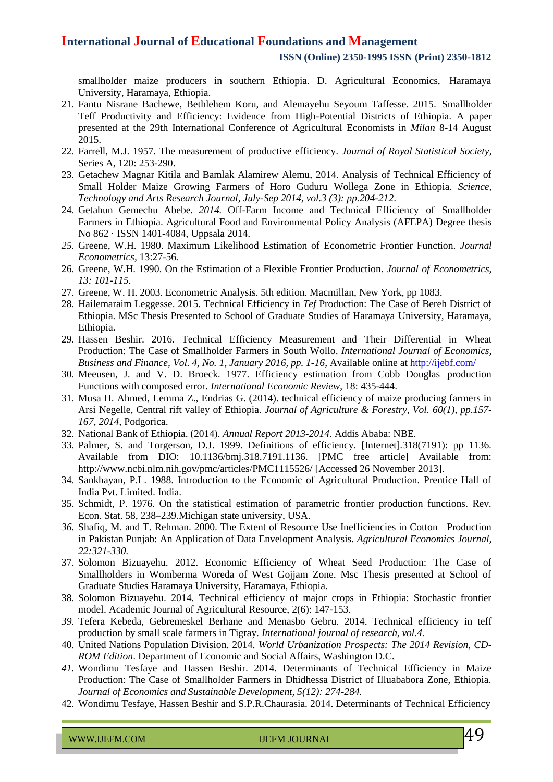smallholder maize producers in southern Ethiopia. D. Agricultural Economics, Haramaya University, Haramaya, Ethiopia.

- 21. Fantu Nisrane Bachewe, Bethlehem Koru, and Alemayehu Seyoum Taffesse. 2015. Smallholder Teff Productivity and Efficiency: Evidence from High-Potential Districts of Ethiopia. A paper presented at the 29th International Conference of Agricultural Economists in *Milan* 8-14 August 2015.
- 22. Farrell, M.J. 1957. The measurement of productive efficiency. *Journal of Royal Statistical Society*, Series A, 120: 253-290.
- 23. Getachew Magnar Kitila and Bamlak Alamirew Alemu, 2014. Analysis of Technical Efficiency of Small Holder Maize Growing Farmers of Horo Guduru Wollega Zone in Ethiopia. *Science, Technology and Arts Research Journal, July-Sep 2014, vol.3 (3): pp.204-212*.
- 24. Getahun Gemechu Abebe. *2014.* Off-Farm Income and Technical Efficiency of Smallholder Farmers in Ethiopia. Agricultural Food and Environmental Policy Analysis (AFEPA) Degree thesis No 862 · ISSN 1401-4084, Uppsala 2014.
- *25.* Greene, W.H. 1980. Maximum Likelihood Estimation of Econometric Frontier Function. *Journal Econometrics,* 13:27-56*.*
- 26. Greene, W.H. 1990. On the Estimation of a Flexible Frontier Production. *Journal of Econometrics, 13: 101-115*.
- 27. Greene, W. H. 2003. Econometric Analysis. 5th edition. Macmillan, New York, pp 1083.
- 28. Hailemaraim Leggesse. 2015. Technical Efficiency in *Tef* Production: The Case of Bereh District of Ethiopia. MSc Thesis Presented to School of Graduate Studies of Haramaya University, Haramaya, Ethiopia.
- 29. Hassen Beshir. 2016. Technical Efficiency Measurement and Their Differential in Wheat Production: The Case of Smallholder Farmers in South Wollo. *International Journal of Economics, Business and Finance, Vol. 4, No. 1, January 2016, pp. 1-16*, Available online at <http://ijebf.com/>
- 30. Meeusen, J. and V. D. Broeck. 1977. Efficiency estimation from Cobb Douglas production Functions with composed error. *International Economic Review*, 18: 435-444.
- 31. Musa H. Ahmed, Lemma Z., Endrias G. (2014). technical efficiency of maize producing farmers in Arsi Negelle, Central rift valley of Ethiopia. *Journal of Agriculture & Forestry, Vol. 60(1), pp.157- 167, 2014*, Podgorica.
- 32. National Bank of Ethiopia. (2014). *Annual Report 2013-2014*. Addis Ababa: NBE.
- 33. Palmer, S. and Torgerson, D.J. 1999. Definitions of efficiency. [Internet].318(7191): pp 1136. Available from DIO: 10.1136/bmj.318.7191.1136. [PMC free article] Available from: <http://www.ncbi.nlm.nih.gov/pmc/articles/PMC1115526/> [Accessed 26 November 2013].
- 34. Sankhayan, P.L. 1988. Introduction to the Economic of Agricultural Production. Prentice Hall of India Pvt. Limited. India.
- 35. Schmidt, P. 1976. On the statistical estimation of parametric frontier production functions. Rev. Econ. Stat. 58, 238–239.Michigan state university, USA.
- *36.* Shafiq, M. and T. Rehman. 2000. The Extent of Resource Use Inefficiencies in Cotton Production in Pakistan Punjab: An Application of Data Envelopment Analysis. *Agricultural Economics Journal, 22:321-330.*
- 37. Solomon Bizuayehu. 2012. Economic Efficiency of Wheat Seed Production: The Case of Smallholders in Womberma Woreda of West Gojjam Zone. Msc Thesis presented at School of Graduate Studies Haramaya University, Haramaya, Ethiopia.
- 38. Solomon Bizuayehu. 2014. Technical efficiency of major crops in Ethiopia: Stochastic frontier model. Academic Journal of Agricultural Resource, 2(6): 147-153.
- *39.* Tefera Kebeda, Gebremeskel Berhane and Menasbo Gebru. 2014. Technical efficiency in teff production by small scale farmers in Tigray. *International journal of research, vol.4.*
- 40. United Nations Population Division. 2014. *World Urbanization Prospects: The 2014 Revision, CD-ROM Edition*. Department of Economic and Social Affairs, Washington D.C.
- *41.* Wondimu Tesfaye and Hassen Beshir. 2014. Determinants of Technical Efficiency in Maize Production: The Case of Smallholder Farmers in Dhidhessa District of Illuababora Zone, Ethiopia. *Journal of Economics and Sustainable Development, 5(12): 274-284.*
- 42. Wondimu Tesfaye, Hassen Beshir and S.P.R.Chaurasia. 2014. Determinants of Technical Efficiency